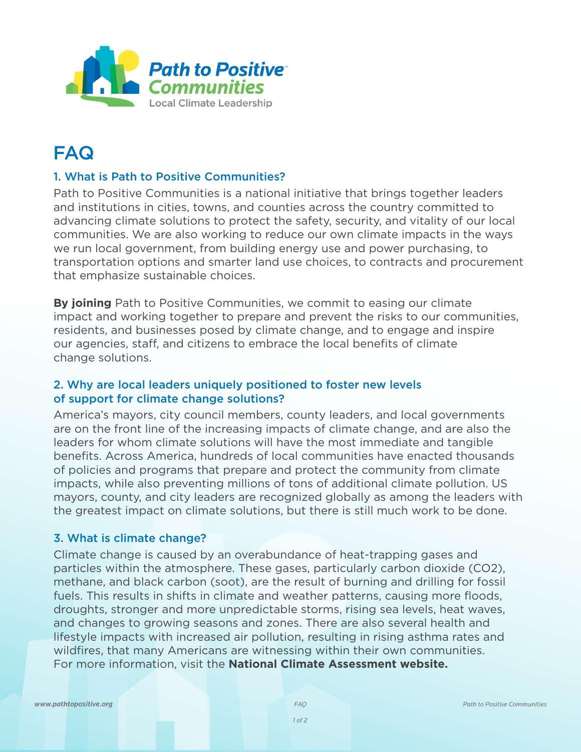

# FAQ

## 1. What is Path to Positive Communities?

Path to Positive Communities is a national initiative that brings together leaders and institutions in cities, towns, and counties across the country committed to advancing climate solutions to protect the safety, security, and vitality of our local communities. We are also working to reduce our own climate impacts in the ways we run local government, from building energy use and power purchasing, to transportation options and smarter land use choices, to contracts and procurement that emphasize sustainable choices.

**By joining** Path to Positive Communities, we commit to easing our climate impact and working together to prepare and prevent the risks to our communities, residents, and businesses posed by climate change, and to engage and inspire our agencies, staff, and citizens to embrace the local benefits of climate change solutions.

## 2. Why are local leaders uniquely positioned to foster new levels of support for climate change solutions?

America's mayors, city council members, county leaders, and local governments are on the front line of the increasing impacts of climate change, and are also the leaders for whom climate solutions will have the most immediate and tangible benefits. Across America, hundreds of local communities have enacted thousands of policies and programs that prepare and protect the community from climate impacts, while also preventing millions of tons of additional climate pollution. US mayors, county, and city leaders are recognized globally as among the leaders with the greatest impact on climate solutions, but there is still much work to be done.

#### 3. What is climate change?

Climate change is caused by an overabundance of heat-trapping gases and particles within the atmosphere. These gases, particularly carbon dioxide (CO2), methane, and black carbon (soot), are the result of burning and drilling for fossil fuels. This results in shifts in climate and weather patterns, causing more floods, droughts, stronger and more unpredictable storms, rising sea levels, heat waves, and changes to growing seasons and zones. There are also several health and lifestyle impacts with increased air pollution, resulting in rising asthma rates and wildfires, that many Americans are witnessing within their own communities. For more information, visit the **National Climate Assessment website.**